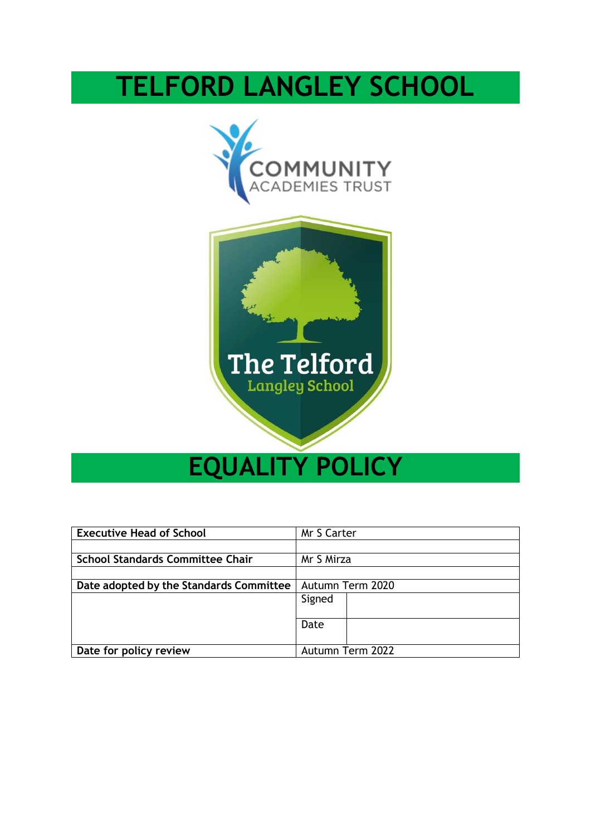# **TELFORD LANGLEY SCHOOL**





# **EQUALITY POLICY**

| <b>Executive Head of School</b>         | Mr S Carter      |  |  |
|-----------------------------------------|------------------|--|--|
|                                         |                  |  |  |
| <b>School Standards Committee Chair</b> | Mr S Mirza       |  |  |
|                                         |                  |  |  |
| Date adopted by the Standards Committee | Autumn Term 2020 |  |  |
|                                         | Signed           |  |  |
|                                         |                  |  |  |
|                                         | Date             |  |  |
|                                         |                  |  |  |
| Date for policy review                  | Autumn Term 2022 |  |  |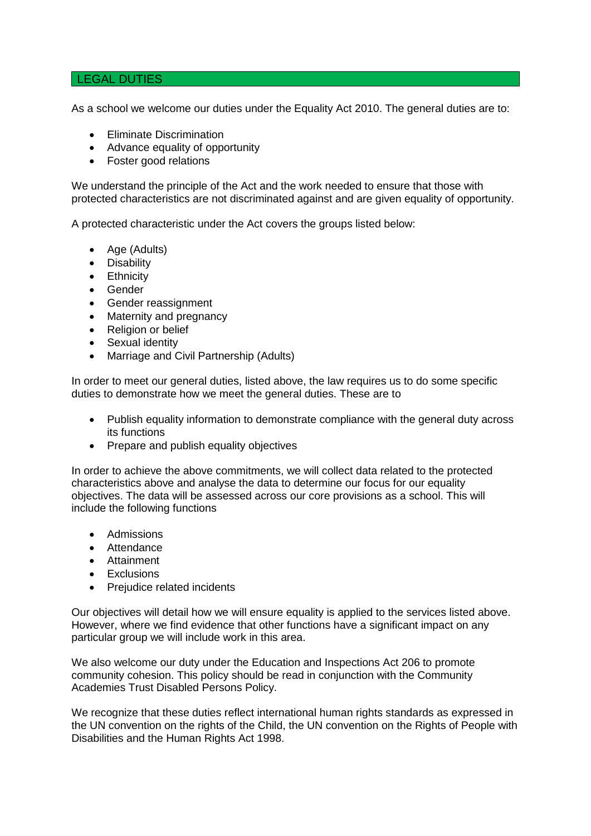#### LEGAL DUTIES

As a school we welcome our duties under the Equality Act 2010. The general duties are to:

- Eliminate Discrimination
- Advance equality of opportunity
- Foster good relations

We understand the principle of the Act and the work needed to ensure that those with protected characteristics are not discriminated against and are given equality of opportunity.

A protected characteristic under the Act covers the groups listed below:

- Age (Adults)
- Disability
- Ethnicity
- Gender
- Gender reassignment
- Maternity and pregnancy
- Religion or belief
- Sexual identity
- Marriage and Civil Partnership (Adults)

In order to meet our general duties, listed above, the law requires us to do some specific duties to demonstrate how we meet the general duties. These are to

- Publish equality information to demonstrate compliance with the general duty across its functions
- Prepare and publish equality objectives

In order to achieve the above commitments, we will collect data related to the protected characteristics above and analyse the data to determine our focus for our equality objectives. The data will be assessed across our core provisions as a school. This will include the following functions

- Admissions
- Attendance
- Attainment
- **Exclusions**
- Prejudice related incidents

Our objectives will detail how we will ensure equality is applied to the services listed above. However, where we find evidence that other functions have a significant impact on any particular group we will include work in this area.

We also welcome our duty under the Education and Inspections Act 206 to promote community cohesion. This policy should be read in conjunction with the Community Academies Trust Disabled Persons Policy.

We recognize that these duties reflect international human rights standards as expressed in the UN convention on the rights of the Child, the UN convention on the Rights of People with Disabilities and the Human Rights Act 1998.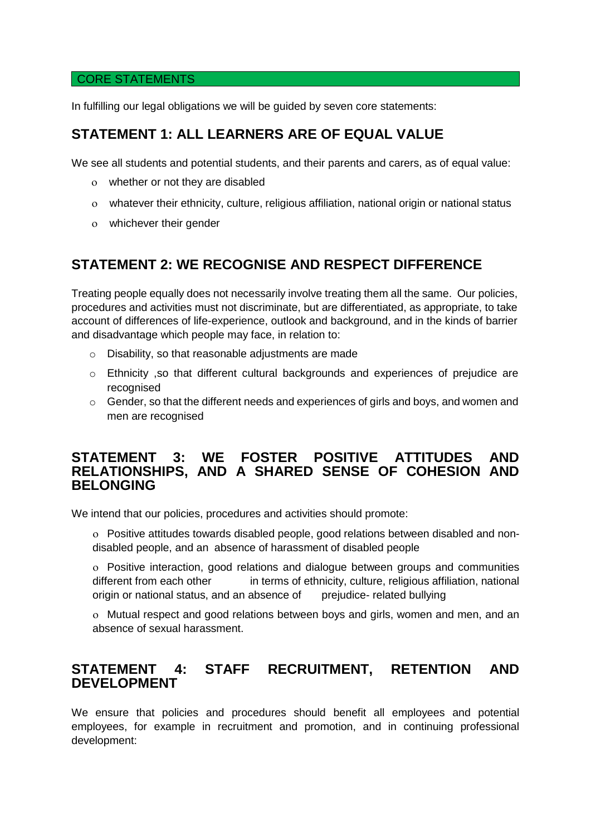### CORE STATEMENTS

In fulfilling our legal obligations we will be guided by seven core statements:

# **STATEMENT 1: ALL LEARNERS ARE OF EQUAL VALUE**

We see all students and potential students, and their parents and carers, as of equal value:

- whether or not they are disabled
- whatever their ethnicity, culture, religious affiliation, national origin or national status
- whichever their gender

# **STATEMENT 2: WE RECOGNISE AND RESPECT DIFFERENCE**

Treating people equally does not necessarily involve treating them all the same. Our policies, procedures and activities must not discriminate, but are differentiated, as appropriate, to take account of differences of life-experience, outlook and background, and in the kinds of barrier and disadvantage which people may face, in relation to:

- o Disability, so that reasonable adjustments are made
- o Ethnicity ,so that different cultural backgrounds and experiences of prejudice are recognised
- $\circ$  Gender, so that the different needs and experiences of girls and boys, and women and men are recognised

### **STATEMENT 3: WE FOSTER POSITIVE ATTITUDES AND RELATIONSHIPS, AND A SHARED SENSE OF COHESION AND BELONGING**

We intend that our policies, procedures and activities should promote:

 Positive attitudes towards disabled people, good relations between disabled and nondisabled people, and an absence of harassment of disabled people

 Positive interaction, good relations and dialogue between groups and communities different from each other in terms of ethnicity, culture, religious affiliation, national origin or national status, and an absence of prejudice- related bullying

 Mutual respect and good relations between boys and girls, women and men, and an absence of sexual harassment.

## **STATEMENT 4: STAFF RECRUITMENT, RETENTION AND DEVELOPMENT**

We ensure that policies and procedures should benefit all employees and potential employees, for example in recruitment and promotion, and in continuing professional development: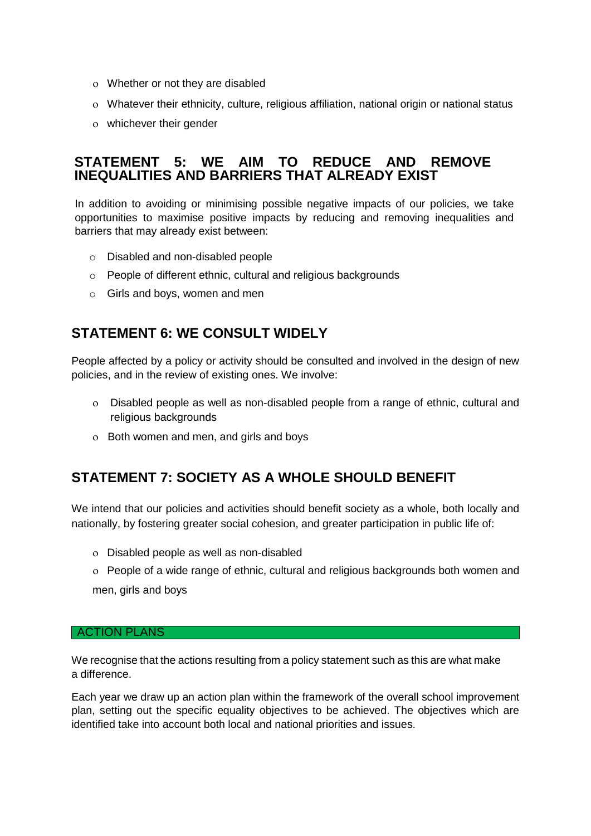- Whether or not they are disabled
- Whatever their ethnicity, culture, religious affiliation, national origin or national status
- whichever their gender

## **STATEMENT 5: WE AIM TO REDUCE AND REMOVE INEQUALITIES AND BARRIERS THAT ALREADY EXIST**

In addition to avoiding or minimising possible negative impacts of our policies, we take opportunities to maximise positive impacts by reducing and removing inequalities and barriers that may already exist between:

- o Disabled and non-disabled people
- o People of different ethnic, cultural and religious backgrounds
- o Girls and boys, women and men

## **STATEMENT 6: WE CONSULT WIDELY**

People affected by a policy or activity should be consulted and involved in the design of new policies, and in the review of existing ones. We involve:

- Disabled people as well as non-disabled people from a range of ethnic, cultural and religious backgrounds
- Both women and men, and girls and boys

## **STATEMENT 7: SOCIETY AS A WHOLE SHOULD BENEFIT**

We intend that our policies and activities should benefit society as a whole, both locally and nationally, by fostering greater social cohesion, and greater participation in public life of:

- Disabled people as well as non-disabled
- People of a wide range of ethnic, cultural and religious backgrounds both women and men, girls and boys

#### ACTION PLANS

We recognise that the actions resulting from a policy statement such as this are what make a difference.

Each year we draw up an action plan within the framework of the overall school improvement plan, setting out the specific equality objectives to be achieved. The objectives which are identified take into account both local and national priorities and issues.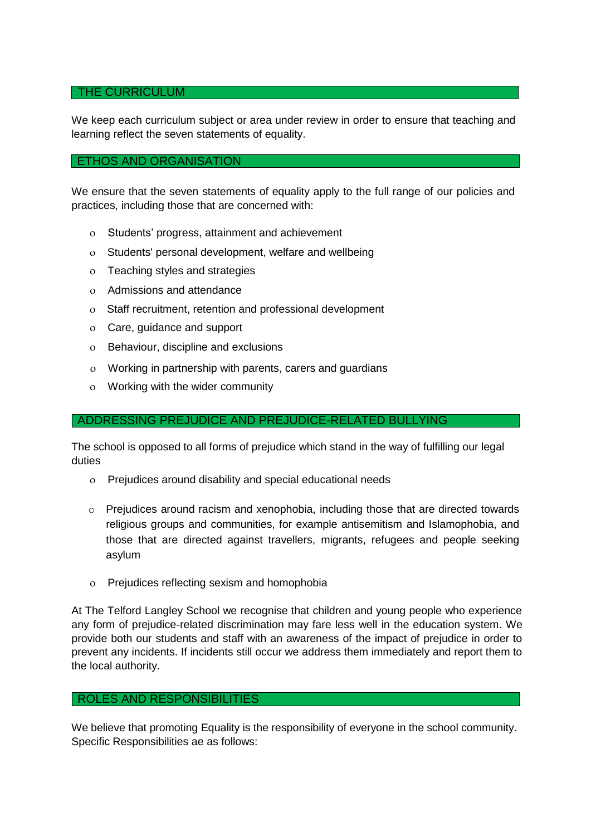#### THE CURRICULUM

We keep each curriculum subject or area under review in order to ensure that teaching and learning reflect the seven statements of equality.

#### ETHOS AND ORGANISATION

We ensure that the seven statements of equality apply to the full range of our policies and practices, including those that are concerned with:

- Students' progress, attainment and achievement
- Students' personal development, welfare and wellbeing
- Teaching styles and strategies
- Admissions and attendance
- Staff recruitment, retention and professional development
- Care, guidance and support
- Behaviour, discipline and exclusions
- Working in partnership with parents, carers and guardians
- Working with the wider community

#### ADDRESSING PREJUDICE AND PREJUDICE-RELATED BULLYING

The school is opposed to all forms of prejudice which stand in the way of fulfilling our legal duties

- Prejudices around disability and special educational needs
- $\circ$  Prejudices around racism and xenophobia, including those that are directed towards religious groups and communities, for example antisemitism and Islamophobia, and those that are directed against travellers, migrants, refugees and people seeking asylum
- Prejudices reflecting sexism and homophobia

At The Telford Langley School we recognise that children and young people who experience any form of prejudice-related discrimination may fare less well in the education system. We provide both our students and staff with an awareness of the impact of prejudice in order to prevent any incidents. If incidents still occur we address them immediately and report them to the local authority.

#### ROLES AND RESPONSIBILITIES

We believe that promoting Equality is the responsibility of everyone in the school community. Specific Responsibilities ae as follows: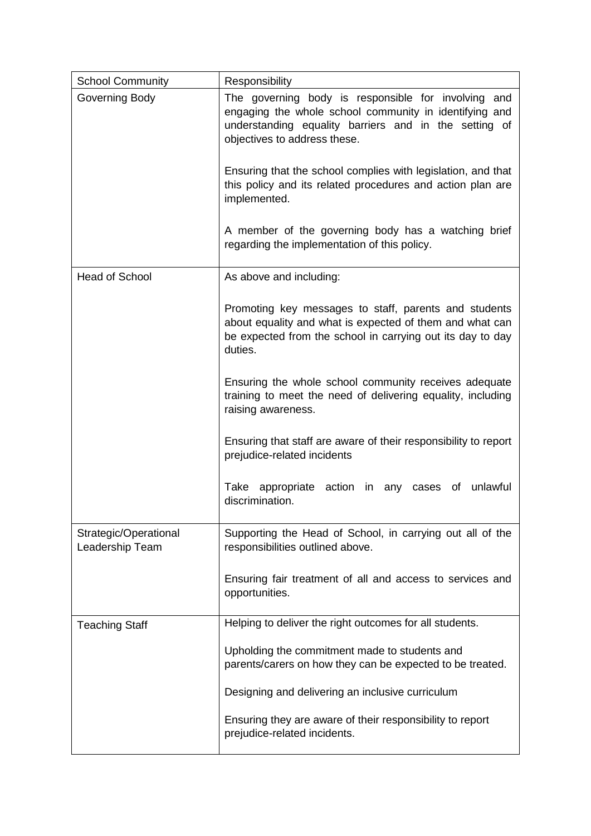| <b>School Community</b>                  | Responsibility                                                                                                                                                                                         |
|------------------------------------------|--------------------------------------------------------------------------------------------------------------------------------------------------------------------------------------------------------|
| Governing Body                           | The governing body is responsible for involving and<br>engaging the whole school community in identifying and<br>understanding equality barriers and in the setting of<br>objectives to address these. |
|                                          | Ensuring that the school complies with legislation, and that<br>this policy and its related procedures and action plan are<br>implemented.                                                             |
|                                          | A member of the governing body has a watching brief<br>regarding the implementation of this policy.                                                                                                    |
| Head of School                           | As above and including:                                                                                                                                                                                |
|                                          | Promoting key messages to staff, parents and students<br>about equality and what is expected of them and what can<br>be expected from the school in carrying out its day to day<br>duties.             |
|                                          | Ensuring the whole school community receives adequate<br>training to meet the need of delivering equality, including<br>raising awareness.                                                             |
|                                          | Ensuring that staff are aware of their responsibility to report<br>prejudice-related incidents                                                                                                         |
|                                          | Take appropriate action<br>in<br>of<br>unlawful<br>any<br>cases<br>discrimination.                                                                                                                     |
| Strategic/Operational<br>Leadership Team | Supporting the Head of School, in carrying out all of the<br>responsibilities outlined above.                                                                                                          |
|                                          | Ensuring fair treatment of all and access to services and<br>opportunities.                                                                                                                            |
| <b>Teaching Staff</b>                    | Helping to deliver the right outcomes for all students.                                                                                                                                                |
|                                          | Upholding the commitment made to students and<br>parents/carers on how they can be expected to be treated.                                                                                             |
|                                          | Designing and delivering an inclusive curriculum                                                                                                                                                       |
|                                          | Ensuring they are aware of their responsibility to report<br>prejudice-related incidents.                                                                                                              |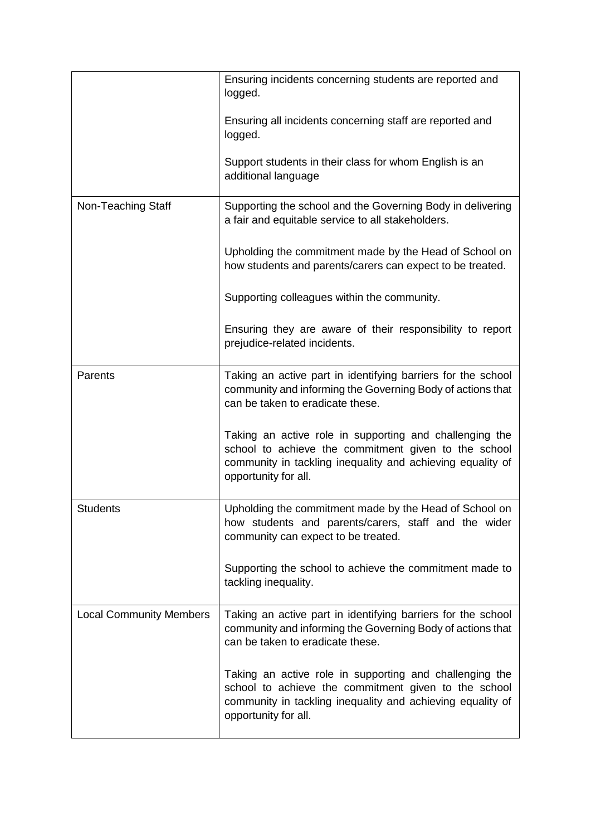|                                | Ensuring incidents concerning students are reported and<br>logged.                                                                                                                                    |
|--------------------------------|-------------------------------------------------------------------------------------------------------------------------------------------------------------------------------------------------------|
|                                | Ensuring all incidents concerning staff are reported and<br>logged.                                                                                                                                   |
|                                | Support students in their class for whom English is an<br>additional language                                                                                                                         |
| Non-Teaching Staff             | Supporting the school and the Governing Body in delivering<br>a fair and equitable service to all stakeholders.                                                                                       |
|                                | Upholding the commitment made by the Head of School on<br>how students and parents/carers can expect to be treated.                                                                                   |
|                                | Supporting colleagues within the community.                                                                                                                                                           |
|                                | Ensuring they are aware of their responsibility to report<br>prejudice-related incidents.                                                                                                             |
| Parents                        | Taking an active part in identifying barriers for the school<br>community and informing the Governing Body of actions that<br>can be taken to eradicate these.                                        |
|                                | Taking an active role in supporting and challenging the<br>school to achieve the commitment given to the school<br>community in tackling inequality and achieving equality of<br>opportunity for all. |
| <b>Students</b>                | Upholding the commitment made by the Head of School on<br>how students and parents/carers, staff and the wider<br>community can expect to be treated.                                                 |
|                                | Supporting the school to achieve the commitment made to<br>tackling inequality.                                                                                                                       |
| <b>Local Community Members</b> | Taking an active part in identifying barriers for the school<br>community and informing the Governing Body of actions that<br>can be taken to eradicate these.                                        |
|                                | Taking an active role in supporting and challenging the<br>school to achieve the commitment given to the school<br>community in tackling inequality and achieving equality of<br>opportunity for all. |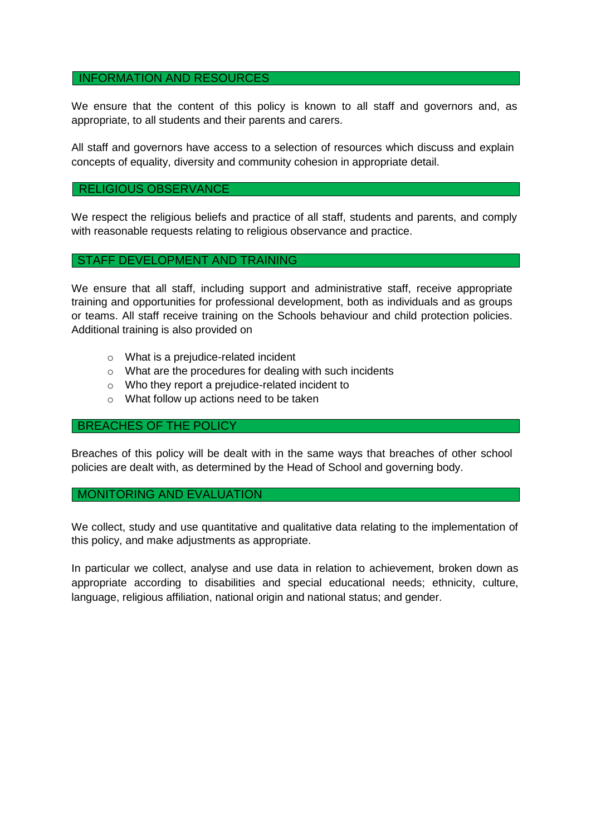#### INFORMATION AND RESOURCES

We ensure that the content of this policy is known to all staff and governors and, as appropriate, to all students and their parents and carers.

All staff and governors have access to a selection of resources which discuss and explain concepts of equality, diversity and community cohesion in appropriate detail.

#### RELIGIOUS OBSERVANCE

We respect the religious beliefs and practice of all staff, students and parents, and comply with reasonable requests relating to religious observance and practice.

#### STAFF DEVELOPMENT AND TRAINING

We ensure that all staff, including support and administrative staff, receive appropriate training and opportunities for professional development, both as individuals and as groups or teams. All staff receive training on the Schools behaviour and child protection policies. Additional training is also provided on

- o What is a prejudice-related incident
- o What are the procedures for dealing with such incidents
- o Who they report a prejudice-related incident to
- o What follow up actions need to be taken

#### BREACHES OF THE POLICY

Breaches of this policy will be dealt with in the same ways that breaches of other school policies are dealt with, as determined by the Head of School and governing body.

#### MONITORING AND EVALUATION

We collect, study and use quantitative and qualitative data relating to the implementation of this policy, and make adjustments as appropriate.

In particular we collect, analyse and use data in relation to achievement, broken down as appropriate according to disabilities and special educational needs; ethnicity, culture, language, religious affiliation, national origin and national status; and gender.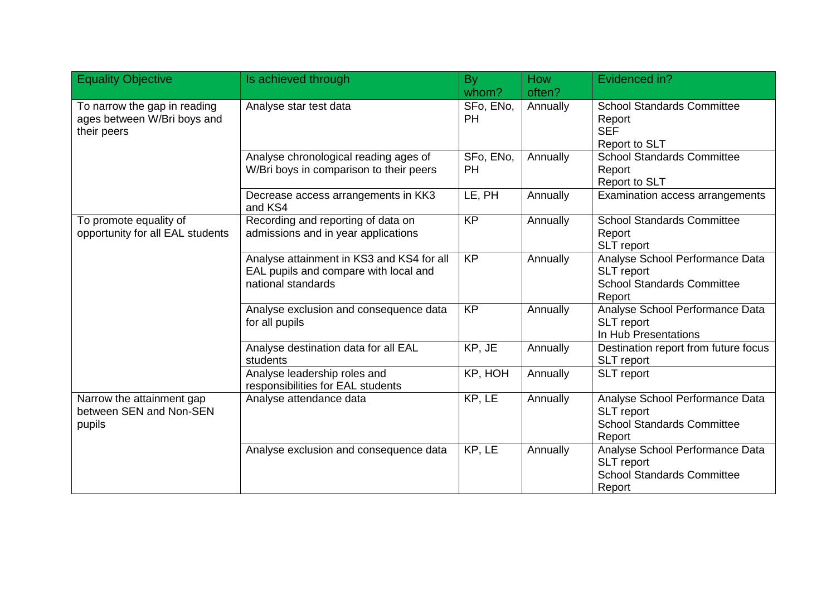| <b>Equality Objective</b>                                                  | Is achieved through                                                                                      | <b>By</b>              | How      | Evidenced in?                                                                                       |
|----------------------------------------------------------------------------|----------------------------------------------------------------------------------------------------------|------------------------|----------|-----------------------------------------------------------------------------------------------------|
|                                                                            |                                                                                                          | whom?                  | often?   |                                                                                                     |
| To narrow the gap in reading<br>ages between W/Bri boys and<br>their peers | Analyse star test data                                                                                   | SFo, ENo,<br><b>PH</b> | Annually | <b>School Standards Committee</b><br>Report<br><b>SEF</b><br><b>Report to SLT</b>                   |
|                                                                            | Analyse chronological reading ages of<br>W/Bri boys in comparison to their peers                         | SFo, ENo,<br><b>PH</b> | Annually | <b>School Standards Committee</b><br>Report<br>Report to SLT                                        |
|                                                                            | Decrease access arrangements in KK3<br>and KS4                                                           | LE, PH                 | Annually | Examination access arrangements                                                                     |
| To promote equality of<br>opportunity for all EAL students                 | Recording and reporting of data on<br>admissions and in year applications                                | <b>KP</b>              | Annually | <b>School Standards Committee</b><br>Report<br><b>SLT</b> report                                    |
|                                                                            | Analyse attainment in KS3 and KS4 for all<br>EAL pupils and compare with local and<br>national standards | <b>KP</b>              | Annually | Analyse School Performance Data<br>SLT report<br><b>School Standards Committee</b><br>Report        |
|                                                                            | Analyse exclusion and consequence data<br>for all pupils                                                 | <b>KP</b>              | Annually | Analyse School Performance Data<br><b>SLT</b> report<br>In Hub Presentations                        |
|                                                                            | Analyse destination data for all EAL<br>students                                                         | KP, JE                 | Annually | Destination report from future focus<br>SLT report                                                  |
|                                                                            | Analyse leadership roles and<br>responsibilities for EAL students                                        | KP, HOH                | Annually | SLT report                                                                                          |
| Narrow the attainment gap<br>between SEN and Non-SEN<br>pupils             | Analyse attendance data                                                                                  | KP, LE                 | Annually | Analyse School Performance Data<br><b>SLT</b> report<br><b>School Standards Committee</b><br>Report |
|                                                                            | Analyse exclusion and consequence data                                                                   | KP, LE                 | Annually | Analyse School Performance Data<br><b>SLT</b> report<br><b>School Standards Committee</b><br>Report |